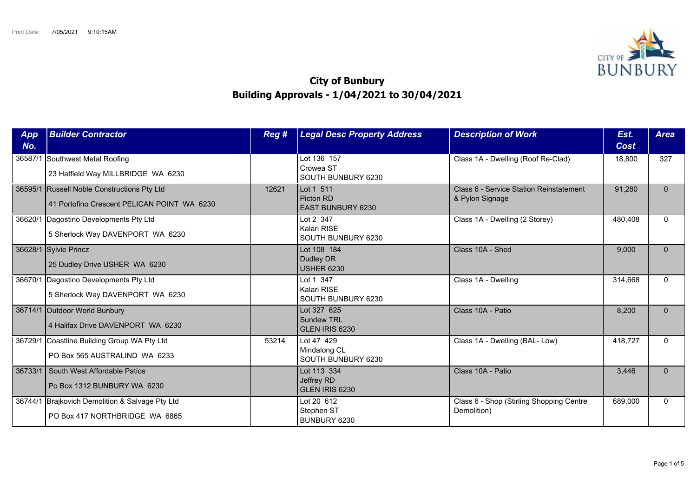

## **City of Bunbury Building Approvals - 1/04/2021 to 30/04/2021**

| App<br>No. | <b>Builder Contractor</b>                                                                  | Reg # | <b>Legal Desc Property Address</b>                 | <b>Description of Work</b>                                 | Est.<br>Cost | <b>Area</b>  |
|------------|--------------------------------------------------------------------------------------------|-------|----------------------------------------------------|------------------------------------------------------------|--------------|--------------|
|            | 36587/1 Southwest Metal Roofing<br>23 Hatfield Way MILLBRIDGE WA 6230                      |       | Lot 136 157<br>Crowea ST<br>SOUTH BUNBURY 6230     | Class 1A - Dwelling (Roof Re-Clad)                         | 18,800       | 327          |
|            | 36595/1 Russell Noble Constructions Pty Ltd<br>41 Portofino Crescent PELICAN POINT WA 6230 | 12621 | Lot 1 511<br>Picton RD<br><b>EAST BUNBURY 6230</b> | Class 6 - Service Station Reinstatement<br>& Pylon Signage | 91,280       | $\Omega$     |
|            | 36620/1 Dagostino Developments Pty Ltd<br>5 Sherlock Way DAVENPORT WA 6230                 |       | Lot 2 347<br>Kalari RISE<br>SOUTH BUNBURY 6230     | Class 1A - Dwelling (2 Storey)                             | 480,408      | $\Omega$     |
|            | 36628/1 Sylvie Princz<br>25 Dudley Drive USHER WA 6230                                     |       | Lot 108 184<br>Dudley DR<br><b>USHER 6230</b>      | Class 10A - Shed                                           | 9,000        | $\Omega$     |
| 36670/1    | Dagostino Developments Pty Ltd<br>5 Sherlock Way DAVENPORT WA 6230                         |       | Lot 1 347<br>Kalari RISE<br>SOUTH BUNBURY 6230     | Class 1A - Dwelling                                        | 314,668      | $\Omega$     |
|            | 36714/1 Outdoor World Bunbury<br>4 Halifax Drive DAVENPORT WA 6230                         |       | Lot 327 625<br><b>Sundew TRL</b><br>GLEN IRIS 6230 | Class 10A - Patio                                          | 8,200        | $\Omega$     |
|            | 36729/1 Coastline Building Group WA Pty Ltd<br>PO Box 565 AUSTRALIND WA 6233               | 53214 | Lot 47 429<br>Mindalong CL<br>SOUTH BUNBURY 6230   | Class 1A - Dwelling (BAL- Low)                             | 418,727      | $\Omega$     |
| 36733/1    | South West Affordable Patios<br>Po Box 1312 BUNBURY WA 6230                                |       | Lot 113 334<br>Jeffrey RD<br>GLEN IRIS 6230        | Class 10A - Patio                                          | 3,446        | $\Omega$     |
|            | 36744/1 Brajkovich Demolition & Salvage Pty Ltd<br>PO Box 417 NORTHBRIDGE WA 6865          |       | Lot 20 612<br>Stephen ST<br>BUNBURY 6230           | Class 6 - Shop (Stirling Shopping Centre<br>Demolition)    | 689,000      | $\mathbf{0}$ |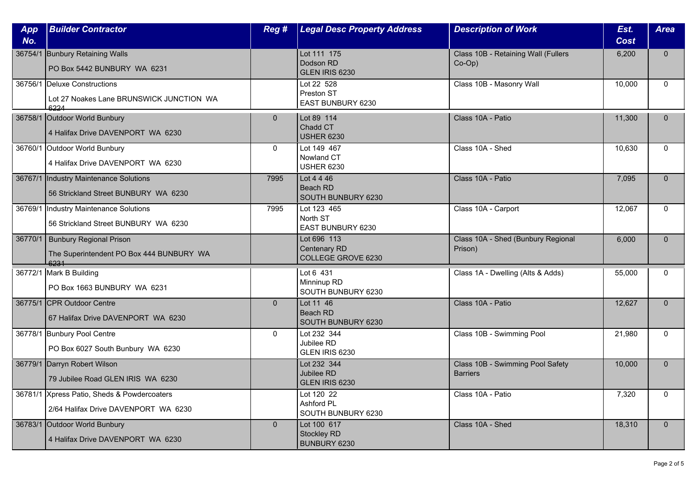| App     | <b>Builder Contractor</b>                                                             | Reg #        | <b>Legal Desc Property Address</b>                | <b>Description of Work</b>                          | Est.        | <b>Area</b>  |
|---------|---------------------------------------------------------------------------------------|--------------|---------------------------------------------------|-----------------------------------------------------|-------------|--------------|
| No.     |                                                                                       |              |                                                   |                                                     | <b>Cost</b> |              |
|         | 36754/1 Bunbury Retaining Walls<br>PO Box 5442 BUNBURY WA 6231                        |              | Lot 111 175<br>Dodson RD<br>GLEN IRIS 6230        | Class 10B - Retaining Wall (Fullers<br>$Co-Op$ )    | 6,200       | $\mathbf{0}$ |
|         | 36756/1 Deluxe Constructions<br>Lot 27 Noakes Lane BRUNSWICK JUNCTION WA<br>6224      |              | Lot 22 528<br>Preston ST<br>EAST BUNBURY 6230     | Class 10B - Masonry Wall                            | 10.000      | $\mathbf{0}$ |
|         | 36758/1 Outdoor World Bunbury<br>4 Halifax Drive DAVENPORT WA 6230                    | $\mathbf{0}$ | Lot 89 114<br>Chadd CT<br><b>USHER 6230</b>       | Class 10A - Patio                                   | 11,300      | $\mathbf{0}$ |
|         | 36760/1 Outdoor World Bunbury<br>4 Halifax Drive DAVENPORT WA 6230                    | $\Omega$     | Lot 149 467<br>Nowland CT<br><b>USHER 6230</b>    | Class 10A - Shed                                    | 10,630      | $\mathbf{0}$ |
| 36767/1 | Industry Maintenance Solutions<br>56 Strickland Street BUNBURY WA 6230                | 7995         | Lot 4 4 46<br>Beach RD<br>SOUTH BUNBURY 6230      | Class 10A - Patio                                   | 7,095       | $\mathbf{0}$ |
| 36769/1 | Industry Maintenance Solutions<br>56 Strickland Street BUNBURY WA 6230                | 7995         | Lot 123 465<br>North ST<br>EAST BUNBURY 6230      | Class 10A - Carport                                 | 12,067      | $\mathbf{0}$ |
|         | 36770/1   Bunbury Regional Prison<br>The Superintendent PO Box 444 BUNBURY WA<br>6231 |              | Lot 696 113<br>Centenary RD<br>COLLEGE GROVE 6230 | Class 10A - Shed (Bunbury Regional<br>Prison)       | 6,000       | $\mathbf 0$  |
|         | 36772/1 Mark B Building<br>PO Box 1663 BUNBURY WA 6231                                |              | Lot 6 431<br>Minninup RD<br>SOUTH BUNBURY 6230    | Class 1A - Dwelling (Alts & Adds)                   | 55,000      | $\mathbf{0}$ |
|         | 36775/1 CPR Outdoor Centre<br>67 Halifax Drive DAVENPORT WA 6230                      | $\mathbf{0}$ | Lot 11 46<br>Beach RD<br>SOUTH BUNBURY 6230       | Class 10A - Patio                                   | 12,627      | $\mathbf{0}$ |
|         | 36778/1 Bunbury Pool Centre<br>PO Box 6027 South Bunbury WA 6230                      | $\mathbf{0}$ | Lot 232 344<br>Jubilee RD<br>GLEN IRIS 6230       | Class 10B - Swimming Pool                           | 21,980      | $\mathbf{0}$ |
|         | 36779/1 Darryn Robert Wilson<br>79 Jubilee Road GLEN IRIS WA 6230                     |              | Lot 232 344<br>Jubilee RD<br>GLEN IRIS 6230       | Class 10B - Swimming Pool Safety<br><b>Barriers</b> | 10,000      | $\mathbf 0$  |
|         | 36781/1 Xpress Patio, Sheds & Powdercoaters<br>2/64 Halifax Drive DAVENPORT WA 6230   |              | Lot 120 22<br>Ashford PL<br>SOUTH BUNBURY 6230    | Class 10A - Patio                                   | 7,320       | $\Omega$     |
|         | 36783/1 Outdoor World Bunbury<br>4 Halifax Drive DAVENPORT WA 6230                    | $\mathbf{0}$ | Lot 100 617<br><b>Stockley RD</b><br>BUNBURY 6230 | Class 10A - Shed                                    | 18,310      | $\mathbf{0}$ |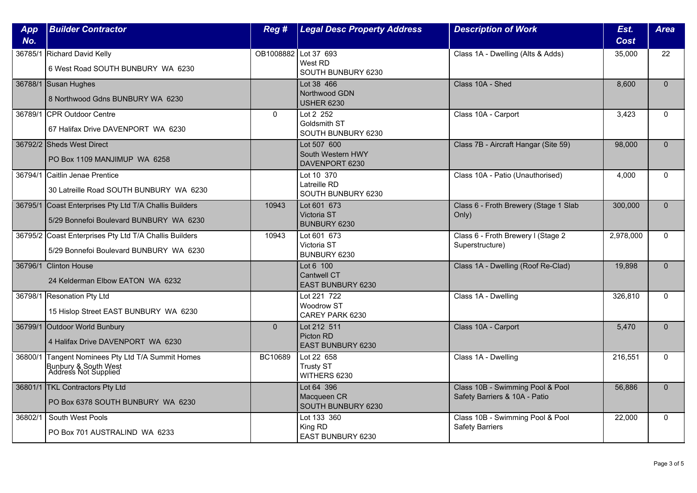| App<br>No. | <b>Builder Contractor</b>                                                                         | Reg #                  | <b>Legal Desc Property Address</b>                   | <b>Description of Work</b>                                        | Est.<br><b>Cost</b> | <b>Area</b>  |
|------------|---------------------------------------------------------------------------------------------------|------------------------|------------------------------------------------------|-------------------------------------------------------------------|---------------------|--------------|
|            |                                                                                                   | OB1008882   Lot 37 693 |                                                      |                                                                   |                     | 22           |
|            | 36785/1 Richard David Kelly<br>6 West Road SOUTH BUNBURY WA 6230                                  |                        | West RD<br>SOUTH BUNBURY 6230                        | Class 1A - Dwelling (Alts & Adds)                                 | 35,000              |              |
|            | 36788/1 Susan Hughes<br>8 Northwood Gdns BUNBURY WA 6230                                          |                        | Lot 38 466<br>Northwood GDN<br><b>USHER 6230</b>     | Class 10A - Shed                                                  | 8,600               | $\Omega$     |
|            | 36789/1 CPR Outdoor Centre<br>67 Halifax Drive DAVENPORT WA 6230                                  | $\mathbf{0}$           | Lot 2 252<br>Goldsmith ST<br>SOUTH BUNBURY 6230      | Class 10A - Carport                                               | 3,423               | $\mathbf{0}$ |
|            | 36792/2 Sheds West Direct<br>PO Box 1109 MANJIMUP WA 6258                                         |                        | Lot 507 600<br>South Western HWY<br>DAVENPORT 6230   | Class 7B - Aircraft Hangar (Site 59)                              | 98,000              | $\Omega$     |
|            | 36794/1 Caitlin Jenae Prentice<br>30 Latreille Road SOUTH BUNBURY WA 6230                         |                        | Lot 10 370<br>Latreille RD<br>SOUTH BUNBURY 6230     | Class 10A - Patio (Unauthorised)                                  | 4,000               | $\Omega$     |
|            | 36795/1 Coast Enterprises Pty Ltd T/A Challis Builders<br>5/29 Bonnefoi Boulevard BUNBURY WA 6230 | 10943                  | Lot 601 673<br>Victoria ST<br><b>BUNBURY 6230</b>    | Class 6 - Froth Brewery (Stage 1 Slab<br>Only)                    | 300,000             | $\Omega$     |
|            | 36795/2 Coast Enterprises Pty Ltd T/A Challis Builders<br>5/29 Bonnefoi Boulevard BUNBURY WA 6230 | 10943                  | Lot 601 673<br>Victoria ST<br>BUNBURY 6230           | Class 6 - Froth Brewery I (Stage 2<br>Superstructure)             | 2,978,000           | $\Omega$     |
|            | 36796/1 Clinton House<br>24 Kelderman Elbow EATON WA 6232                                         |                        | Lot 6 100<br><b>Cantwell CT</b><br>EAST BUNBURY 6230 | Class 1A - Dwelling (Roof Re-Clad)                                | 19,898              | $\Omega$     |
|            | 36798/1 Resonation Pty Ltd<br>15 Hislop Street EAST BUNBURY WA 6230                               |                        | Lot 221 722<br>Woodrow ST<br>CAREY PARK 6230         | Class 1A - Dwelling                                               | 326,810             | $\mathbf{0}$ |
|            | 36799/1 Outdoor World Bunbury<br>4 Halifax Drive DAVENPORT WA 6230                                | $\mathbf{0}$           | Lot 212 511<br>Picton RD<br><b>EAST BUNBURY 6230</b> | Class 10A - Carport                                               | 5,470               | $\Omega$     |
| 36800/1    | Tangent Nominees Pty Ltd T/A Summit Homes<br>Bunbury & South West<br>Address Not Supplied         | BC10689                | Lot 22 658<br><b>Trusty ST</b><br>WITHERS 6230       | Class 1A - Dwelling                                               | 216,551             | $\mathbf{0}$ |
|            | 36801/1 TKL Contractors Pty Ltd<br>PO Box 6378 SOUTH BUNBURY WA 6230                              |                        | Lot 64 396<br>Macqueen CR<br>SOUTH BUNBURY 6230      | Class 10B - Swimming Pool & Pool<br>Safety Barriers & 10A - Patio | 56,886              | $\Omega$     |
| 36802/1    | South West Pools<br>PO Box 701 AUSTRALIND WA 6233                                                 |                        | Lot 133 360<br>King RD<br><b>EAST BUNBURY 6230</b>   | Class 10B - Swimming Pool & Pool<br><b>Safety Barriers</b>        | 22,000              | $\mathbf{0}$ |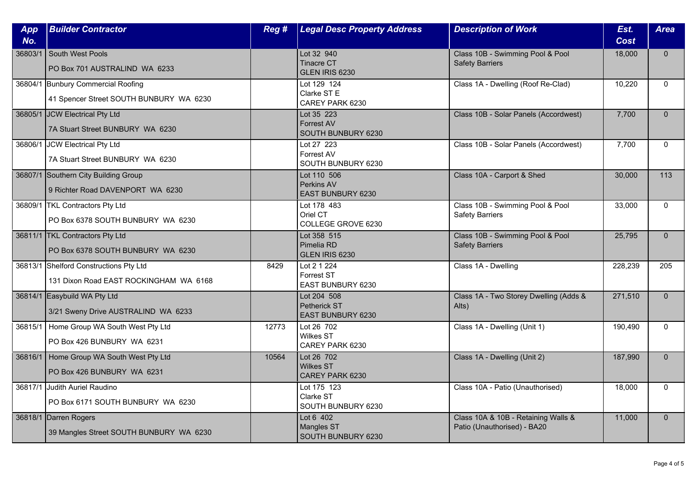| App<br>No. | <b>Builder Contractor</b>                                                        | Reg # | <b>Legal Desc Property Address</b>                    | <b>Description of Work</b>                                         | Est.<br><b>Cost</b> | <b>Area</b>  |
|------------|----------------------------------------------------------------------------------|-------|-------------------------------------------------------|--------------------------------------------------------------------|---------------------|--------------|
| 36803/1    | South West Pools<br>PO Box 701 AUSTRALIND WA 6233                                |       | Lot 32 940<br><b>Tinacre CT</b><br>GLEN IRIS 6230     | Class 10B - Swimming Pool & Pool<br><b>Safety Barriers</b>         | 18,000              | $\mathbf{0}$ |
|            | 36804/1 Bunbury Commercial Roofing<br>41 Spencer Street SOUTH BUNBURY WA 6230    |       | Lot 129 124<br>Clarke ST E<br>CAREY PARK 6230         | Class 1A - Dwelling (Roof Re-Clad)                                 | 10,220              | $\Omega$     |
|            | 36805/1 JCW Electrical Pty Ltd<br>7A Stuart Street BUNBURY WA 6230               |       | Lot 35 223<br><b>Forrest AV</b><br>SOUTH BUNBURY 6230 | Class 10B - Solar Panels (Accordwest)                              | 7,700               | $\mathbf{0}$ |
|            | 36806/1 JCW Electrical Pty Ltd<br>7A Stuart Street BUNBURY WA 6230               |       | Lot 27 223<br>Forrest AV<br>SOUTH BUNBURY 6230        | Class 10B - Solar Panels (Accordwest)                              | 7,700               | $\mathbf{0}$ |
|            | 36807/1 Southern City Building Group<br>9 Richter Road DAVENPORT WA 6230         |       | Lot 110 506<br>Perkins AV<br><b>EAST BUNBURY 6230</b> | Class 10A - Carport & Shed                                         | 30,000              | 113          |
|            | 36809/1   TKL Contractors Pty Ltd<br>PO Box 6378 SOUTH BUNBURY WA 6230           |       | Lot 178 483<br>Oriel CT<br>COLLEGE GROVE 6230         | Class 10B - Swimming Pool & Pool<br><b>Safety Barriers</b>         | 33,000              | $\Omega$     |
|            | 36811/1 TKL Contractors Pty Ltd<br>PO Box 6378 SOUTH BUNBURY WA 6230             |       | Lot 358 515<br>Pimelia RD<br>GLEN IRIS 6230           | Class 10B - Swimming Pool & Pool<br><b>Safety Barriers</b>         | 25,795              | $\mathbf{0}$ |
|            | 36813/1 Shelford Constructions Pty Ltd<br>131 Dixon Road EAST ROCKINGHAM WA 6168 | 8429  | Lot 2 1 224<br>Forrest ST<br>EAST BUNBURY 6230        | Class 1A - Dwelling                                                | 228,239             | 205          |
|            | 36814/1 Easybuild WA Pty Ltd<br>3/21 Sweny Drive AUSTRALIND WA 6233              |       | Lot 204 508<br>Petherick ST<br>EAST BUNBURY 6230      | Class 1A - Two Storey Dwelling (Adds &<br>Alts)                    | 271,510             | $\Omega$     |
|            | 36815/1   Home Group WA South West Pty Ltd<br>PO Box 426 BUNBURY WA 6231         | 12773 | Lot 26 702<br><b>Wilkes ST</b><br>CAREY PARK 6230     | Class 1A - Dwelling (Unit 1)                                       | 190,490             | $\mathbf{0}$ |
|            | 36816/1 Home Group WA South West Pty Ltd<br>PO Box 426 BUNBURY WA 6231           | 10564 | Lot 26 702<br><b>Wilkes ST</b><br>CAREY PARK 6230     | Class 1A - Dwelling (Unit 2)                                       | 187,990             | $\mathbf{0}$ |
|            | 36817/1 Judith Auriel Raudino<br>PO Box 6171 SOUTH BUNBURY WA 6230               |       | Lot 175 123<br>Clarke ST<br>SOUTH BUNBURY 6230        | Class 10A - Patio (Unauthorised)                                   | 18,000              | $\Omega$     |
|            | 36818/1 Darren Rogers<br>39 Mangles Street SOUTH BUNBURY WA 6230                 |       | Lot 6 402<br><b>Mangles ST</b><br>SOUTH BUNBURY 6230  | Class 10A & 10B - Retaining Walls &<br>Patio (Unauthorised) - BA20 | 11,000              | $\mathbf{0}$ |